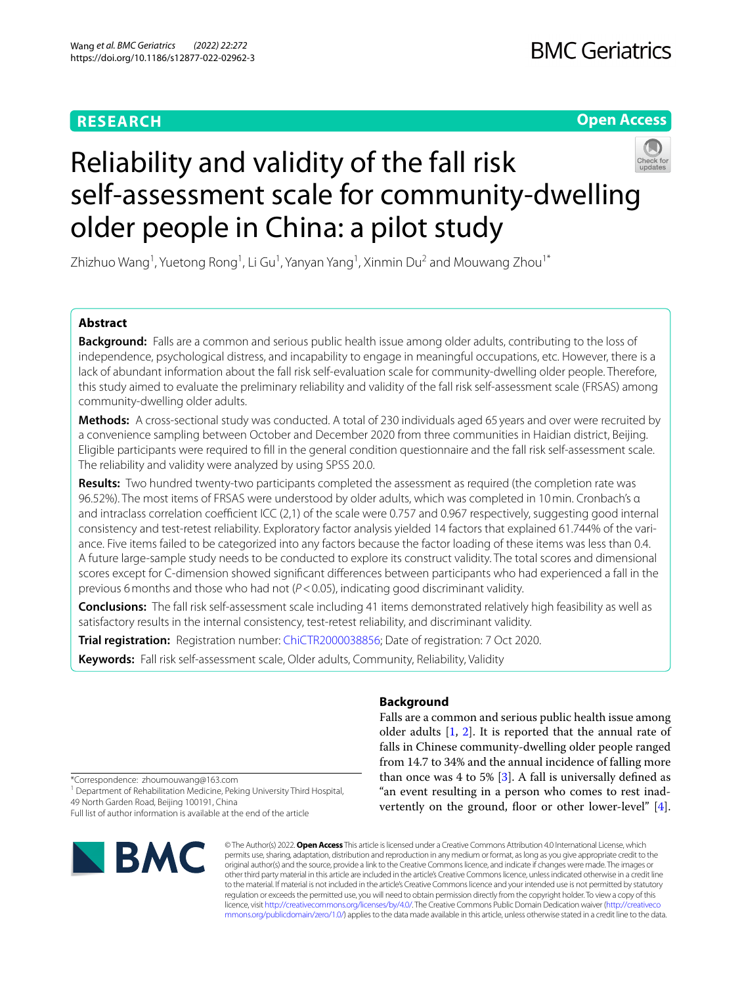# **RESEARCH**

# **Open Access**



# Reliability and validity of the fall risk self-assessment scale for community-dwelling older people in China: a pilot study

Zhizhuo Wang<sup>1</sup>, Yuetong Rong<sup>1</sup>, Li Gu<sup>1</sup>, Yanyan Yang<sup>1</sup>, Xinmin Du<sup>2</sup> and Mouwang Zhou<sup>1\*</sup>

# **Abstract**

**Background:** Falls are a common and serious public health issue among older adults, contributing to the loss of independence, psychological distress, and incapability to engage in meaningful occupations, etc. However, there is a lack of abundant information about the fall risk self-evaluation scale for community-dwelling older people. Therefore, this study aimed to evaluate the preliminary reliability and validity of the fall risk self-assessment scale (FRSAS) among community-dwelling older adults.

**Methods:** A cross-sectional study was conducted. A total of 230 individuals aged 65 years and over were recruited by a convenience sampling between October and December 2020 from three communities in Haidian district, Beijing. Eligible participants were required to fll in the general condition questionnaire and the fall risk self-assessment scale. The reliability and validity were analyzed by using SPSS 20.0.

**Results:** Two hundred twenty-two participants completed the assessment as required (the completion rate was 96.52%). The most items of FRSAS were understood by older adults, which was completed in 10min. Cronbach's α and intraclass correlation coefficient ICC  $(2,1)$  of the scale were 0.757 and 0.967 respectively, suggesting good internal consistency and test-retest reliability. Exploratory factor analysis yielded 14 factors that explained 61.744% of the variance. Five items failed to be categorized into any factors because the factor loading of these items was less than 0.4. A future large-sample study needs to be conducted to explore its construct validity. The total scores and dimensional scores except for C-dimension showed signifcant diferences between participants who had experienced a fall in the previous 6months and those who had not (*P*<0.05), indicating good discriminant validity.

**Conclusions:** The fall risk self-assessment scale including 41 items demonstrated relatively high feasibility as well as satisfactory results in the internal consistency, test-retest reliability, and discriminant validity.

**Trial registration:** Registration number: [ChiCTR2000038856](http://www.chictr.org.cn/showproj.aspx?proj=62300); Date of registration: 7 Oct 2020.

**Keywords:** Fall risk self-assessment scale, Older adults, Community, Reliability, Validity

# **Background**

Falls are a common and serious public health issue among older adults  $[1, 2]$  $[1, 2]$  $[1, 2]$  $[1, 2]$  $[1, 2]$ . It is reported that the annual rate of falls in Chinese community-dwelling older people ranged from 14.7 to 34% and the annual incidence of falling more than once was 4 to 5%  $[3]$  $[3]$ . A fall is universally defined as "an event resulting in a person who comes to rest inad-vertently on the ground, floor or other lower-level" [\[4](#page-8-3)].

\*Correspondence: zhoumouwang@163.com

<sup>1</sup> Department of Rehabilitation Medicine, Peking University Third Hospital, 49 North Garden Road, Beijing 100191, China

Full list of author information is available at the end of the article



© The Author(s) 2022. **Open Access** This article is licensed under a Creative Commons Attribution 4.0 International License, which permits use, sharing, adaptation, distribution and reproduction in any medium or format, as long as you give appropriate credit to the original author(s) and the source, provide a link to the Creative Commons licence, and indicate if changes were made. The images or other third party material in this article are included in the article's Creative Commons licence, unless indicated otherwise in a credit line to the material. If material is not included in the article's Creative Commons licence and your intended use is not permitted by statutory regulation or exceeds the permitted use, you will need to obtain permission directly from the copyright holder. To view a copy of this licence, visit [http://creativecommons.org/licenses/by/4.0/.](http://creativecommons.org/licenses/by/4.0/) The Creative Commons Public Domain Dedication waiver ([http://creativeco](http://creativecommons.org/publicdomain/zero/1.0/) [mmons.org/publicdomain/zero/1.0/](http://creativecommons.org/publicdomain/zero/1.0/)) applies to the data made available in this article, unless otherwise stated in a credit line to the data.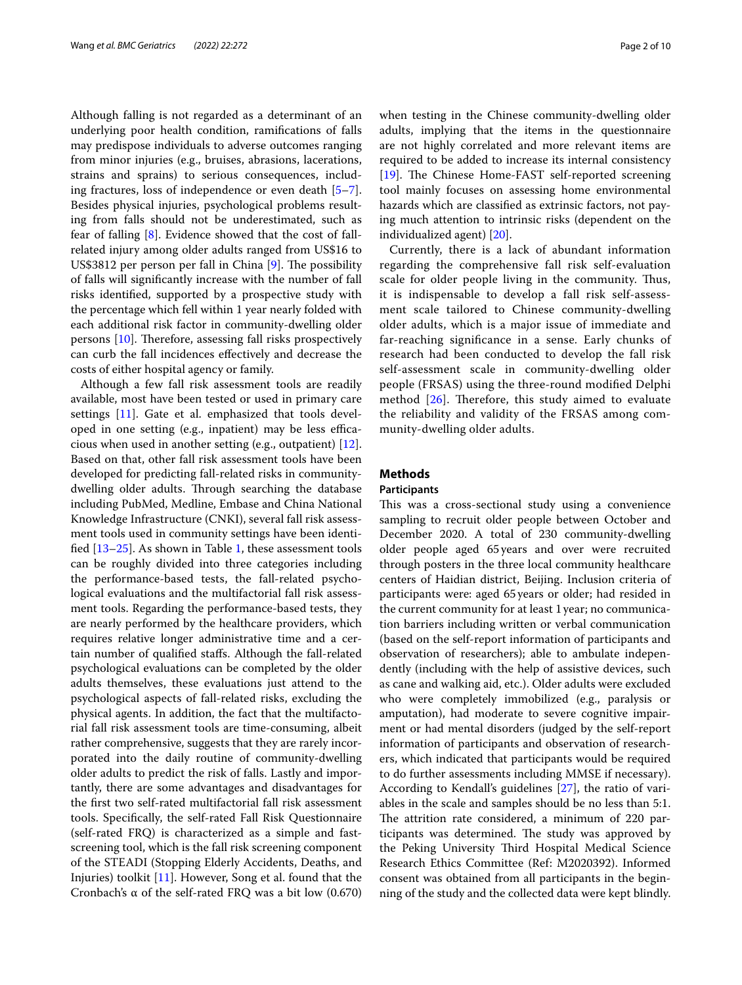Although falling is not regarded as a determinant of an underlying poor health condition, ramifcations of falls may predispose individuals to adverse outcomes ranging from minor injuries (e.g., bruises, abrasions, lacerations, strains and sprains) to serious consequences, including fractures, loss of independence or even death [\[5](#page-8-4)[–7](#page-8-5)]. Besides physical injuries, psychological problems resulting from falls should not be underestimated, such as fear of falling [[8\]](#page-8-6). Evidence showed that the cost of fallrelated injury among older adults ranged from US\$16 to US\$3812 per person per fall in China  $[9]$  $[9]$  $[9]$ . The possibility of falls will signifcantly increase with the number of fall risks identifed, supported by a prospective study with the percentage which fell within 1 year nearly folded with each additional risk factor in community-dwelling older persons [[10\]](#page-8-8). Therefore, assessing fall risks prospectively can curb the fall incidences efectively and decrease the costs of either hospital agency or family.

Although a few fall risk assessment tools are readily available, most have been tested or used in primary care settings [\[11\]](#page-9-0). Gate et al. emphasized that tools developed in one setting (e.g., inpatient) may be less efficacious when used in another setting (e.g., outpatient) [\[12](#page-9-1)]. Based on that, other fall risk assessment tools have been developed for predicting fall-related risks in communitydwelling older adults. Through searching the database including PubMed, Medline, Embase and China National Knowledge Infrastructure (CNKI), several fall risk assessment tools used in community settings have been identifed [[13](#page-9-2)[–25](#page-9-3)]. As shown in Table [1,](#page-2-0) these assessment tools can be roughly divided into three categories including the performance-based tests, the fall-related psychological evaluations and the multifactorial fall risk assessment tools. Regarding the performance-based tests, they are nearly performed by the healthcare providers, which requires relative longer administrative time and a certain number of qualifed stafs. Although the fall-related psychological evaluations can be completed by the older adults themselves, these evaluations just attend to the psychological aspects of fall-related risks, excluding the physical agents. In addition, the fact that the multifactorial fall risk assessment tools are time-consuming, albeit rather comprehensive, suggests that they are rarely incorporated into the daily routine of community-dwelling older adults to predict the risk of falls. Lastly and importantly, there are some advantages and disadvantages for the frst two self-rated multifactorial fall risk assessment tools. Specifcally, the self-rated Fall Risk Questionnaire (self-rated FRQ) is characterized as a simple and fastscreening tool, which is the fall risk screening component of the STEADI (Stopping Elderly Accidents, Deaths, and Injuries) toolkit [[11\]](#page-9-0). However, Song et al. found that the Cronbach's α of the self-rated FRQ was a bit low (0.670) when testing in the Chinese community-dwelling older adults, implying that the items in the questionnaire are not highly correlated and more relevant items are required to be added to increase its internal consistency [[19\]](#page-9-4). The Chinese Home-FAST self-reported screening tool mainly focuses on assessing home environmental hazards which are classifed as extrinsic factors, not paying much attention to intrinsic risks (dependent on the individualized agent) [[20\]](#page-9-5).

Currently, there is a lack of abundant information regarding the comprehensive fall risk self-evaluation scale for older people living in the community. Thus, it is indispensable to develop a fall risk self-assessment scale tailored to Chinese community-dwelling older adults, which is a major issue of immediate and far-reaching signifcance in a sense. Early chunks of research had been conducted to develop the fall risk self-assessment scale in community-dwelling older people (FRSAS) using the three-round modifed Delphi method  $[26]$  $[26]$ . Therefore, this study aimed to evaluate the reliability and validity of the FRSAS among community-dwelling older adults.

# **Methods**

## **Participants**

This was a cross-sectional study using a convenience sampling to recruit older people between October and December 2020. A total of 230 community-dwelling older people aged 65years and over were recruited through posters in the three local community healthcare centers of Haidian district, Beijing. Inclusion criteria of participants were: aged 65years or older; had resided in the current community for at least 1year; no communication barriers including written or verbal communication (based on the self-report information of participants and observation of researchers); able to ambulate independently (including with the help of assistive devices, such as cane and walking aid, etc.). Older adults were excluded who were completely immobilized (e.g., paralysis or amputation), had moderate to severe cognitive impairment or had mental disorders (judged by the self-report information of participants and observation of researchers, which indicated that participants would be required to do further assessments including MMSE if necessary). According to Kendall's guidelines [\[27](#page-9-7)], the ratio of variables in the scale and samples should be no less than 5:1. The attrition rate considered, a minimum of 220 participants was determined. The study was approved by the Peking University Third Hospital Medical Science Research Ethics Committee (Ref: M2020392). Informed consent was obtained from all participants in the beginning of the study and the collected data were kept blindly.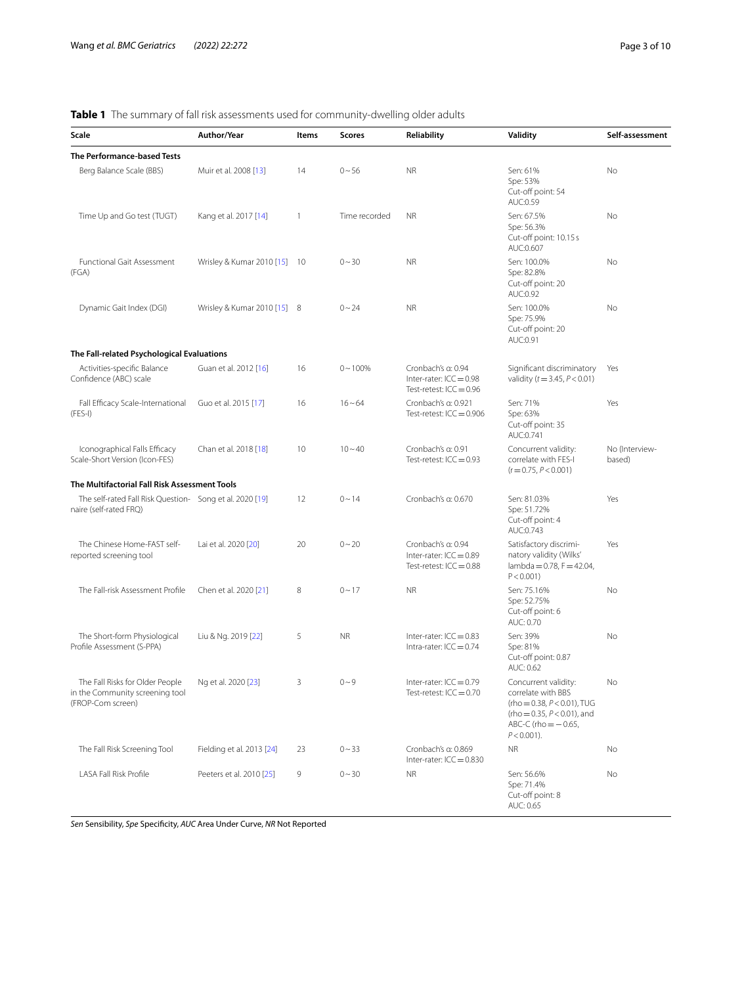# <span id="page-2-0"></span>**Table 1** The summary of fall risk assessments used for community-dwelling older adults

| Scale                                                                                   | Author/Year                  | Items | <b>Scores</b> | Reliability                                                                  | Validity                                                                                                                                                         | Self-assessment          |  |  |
|-----------------------------------------------------------------------------------------|------------------------------|-------|---------------|------------------------------------------------------------------------------|------------------------------------------------------------------------------------------------------------------------------------------------------------------|--------------------------|--|--|
| The Performance-based Tests                                                             |                              |       |               |                                                                              |                                                                                                                                                                  |                          |  |  |
| Berg Balance Scale (BBS)                                                                | Muir et al. 2008 [13]        | 14    | $0 - 56$      | <b>NR</b>                                                                    | Sen: 61%<br>Spe: 53%<br>Cut-off point: 54<br>AUC:0.59                                                                                                            | No                       |  |  |
| Time Up and Go test (TUGT)                                                              | Kang et al. 2017 [14]        | 1     | Time recorded | <b>NR</b>                                                                    | Sen: 67.5%<br>Spe: 56.3%<br>Cut-off point: 10.15 s<br>AUC:0.607                                                                                                  | No                       |  |  |
| Functional Gait Assessment<br>(FGA)                                                     | Wrisley & Kumar 2010 [15] 10 |       | $0 - 30$      | <b>NR</b>                                                                    | Sen: 100.0%<br>Spe: 82.8%<br>Cut-off point: 20<br>AUC:0.92                                                                                                       | No                       |  |  |
| Dynamic Gait Index (DGI)                                                                | Wrisley & Kumar 2010 [15] 8  |       | $0 - 24$      | <b>NR</b>                                                                    | Sen: 100.0%<br>Spe: 75.9%<br>Cut-off point: 20<br>AUC:0.91                                                                                                       | No                       |  |  |
| The Fall-related Psychological Evaluations                                              |                              |       |               |                                                                              |                                                                                                                                                                  |                          |  |  |
| Activities-specific Balance<br>Confidence (ABC) scale                                   | Guan et al. 2012 [16]        | 16    | $0 - 100%$    | Cronbach's a: 0.94<br>Inter-rater: $ICC = 0.98$<br>Test-retest: $ICC = 0.96$ | Significant discriminatory<br>validity ( $t = 3.45$ , $P < 0.01$ )                                                                                               | Yes                      |  |  |
| Fall Efficacy Scale-International<br>$(FES-I)$                                          | Guo et al. 2015 [17]         | 16    | $16 - 64$     | Cronbach's a: 0.921<br>Test-retest: $ICC = 0.906$                            | Sen: 71%<br>Spe: 63%<br>Cut-off point: 35<br>AUC:0.741                                                                                                           | Yes                      |  |  |
| Iconographical Falls Efficacy<br>Scale-Short Version (Icon-FES)                         | Chan et al. 2018 [18]        | 10    | $10 - 40$     | Cronbach's a: 0.91<br>Test-retest: $ICC = 0.93$                              | Concurrent validity:<br>correlate with FES-I<br>$(r = 0.75, P < 0.001)$                                                                                          | No (Interview-<br>based) |  |  |
| The Multifactorial Fall Risk Assessment Tools                                           |                              |       |               |                                                                              |                                                                                                                                                                  |                          |  |  |
| The self-rated Fall Risk Question- Song et al. 2020 [19]<br>naire (self-rated FRQ)      |                              | 12    | $0 - 14$      | Cronbach's a: 0.670                                                          | Sen: 81.03%<br>Spe: 51.72%<br>Cut-off point: 4<br>AUC:0.743                                                                                                      | Yes                      |  |  |
| The Chinese Home-FAST self-<br>reported screening tool                                  | Lai et al. 2020 [20]         | 20    | $0 - 20$      | Cronbach's a: 0.94<br>Inter-rater: $ICC = 0.89$<br>Test-retest: $ICC = 0.88$ | Satisfactory discrimi-<br>natory validity (Wilks'<br>lambda = $0.78$ , $F = 42.04$ ,<br>$P < 0.001$ )                                                            | Yes                      |  |  |
| The Fall-risk Assessment Profile                                                        | Chen et al. 2020 [21]        | 8     | $0 - 17$      | <b>NR</b>                                                                    | Sen: 75.16%<br>Spe: 52.75%<br>Cut-off point: 6<br>AUC: 0.70                                                                                                      | No                       |  |  |
| The Short-form Physiological<br>Profile Assessment (S-PPA)                              | Liu & Ng. 2019 [22]          | 5     | <b>NR</b>     | Inter-rater: $ICC = 0.83$<br>Intra-rater: $ICC = 0.74$                       | Sen: 39%<br>Spe: 81%<br>Cut-off point: 0.87<br>AUC: 0.62                                                                                                         | No                       |  |  |
| The Fall Risks for Older People<br>in the Community screening tool<br>(FROP-Com screen) | Ng et al. 2020 [23]          |       | $0 - 9$       | Inter-rater: $ICC = 0.79$<br>Test-retest: ICC = 0.70                         | Concurrent validity:<br>correlate with BBS<br>(rho = $0.38$ , $P < 0.01$ ), TUG<br>(rho = $0.35$ , $P < 0.01$ ), and<br>ABC-C (rho = $-0.65$ ,<br>$P < 0.001$ ). | No                       |  |  |
| The Fall Risk Screening Tool                                                            | Fielding et al. 2013 [24]    | 23    | $0 - 33$      | Cronbach's a: 0.869<br>Inter-rater: $ICC = 0.830$                            | NR                                                                                                                                                               | No                       |  |  |
| LASA Fall Risk Profile                                                                  | Peeters et al. 2010 [25]     | 9     | $0 - 30$      | <b>NR</b>                                                                    | Sen: 56.6%<br>Spe: 71.4%<br>Cut-off point: 8<br>AUC: 0.65                                                                                                        | No                       |  |  |

*Sen* Sensibility, *Spe* Specifcity, *AUC* Area Under Curve, *NR* Not Reported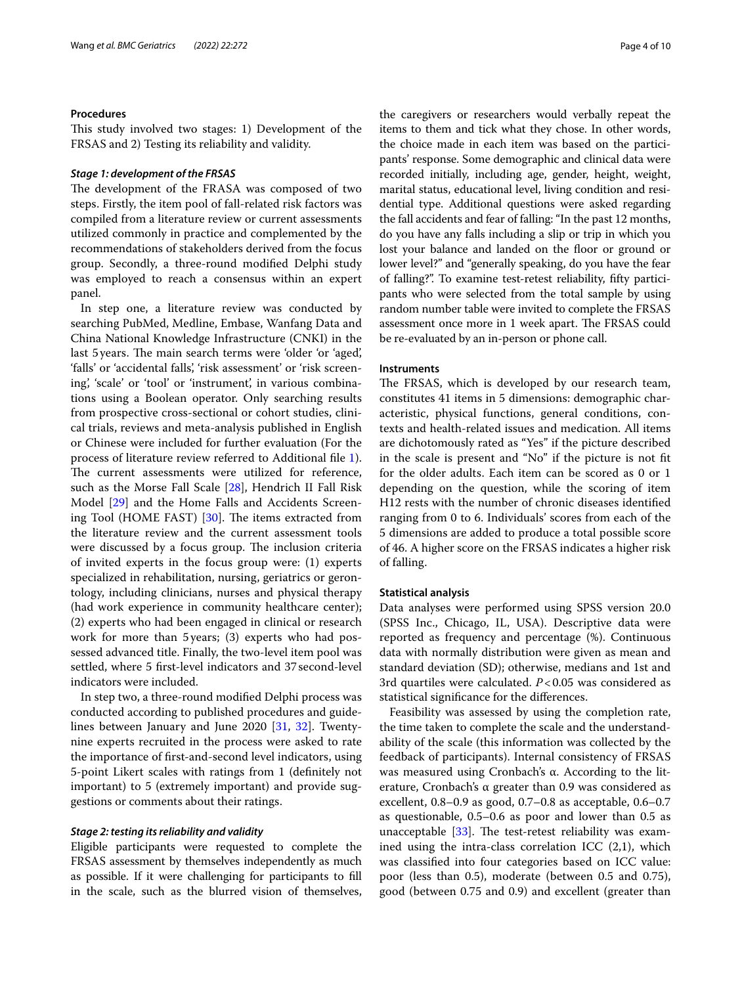## **Procedures**

This study involved two stages: 1) Development of the FRSAS and 2) Testing its reliability and validity.

## *Stage 1: development of the FRSAS*

The development of the FRASA was composed of two steps. Firstly, the item pool of fall-related risk factors was compiled from a literature review or current assessments utilized commonly in practice and complemented by the recommendations of stakeholders derived from the focus group. Secondly, a three-round modifed Delphi study was employed to reach a consensus within an expert panel.

In step one, a literature review was conducted by searching PubMed, Medline, Embase, Wanfang Data and China National Knowledge Infrastructure (CNKI) in the last 5 years. The main search terms were 'older 'or 'aged', 'falls' or 'accidental falls', 'risk assessment' or 'risk screening', 'scale' or 'tool' or 'instrument', in various combinations using a Boolean operator. Only searching results from prospective cross-sectional or cohort studies, clinical trials, reviews and meta-analysis published in English or Chinese were included for further evaluation (For the process of literature review referred to Additional fle [1](#page-8-9)). The current assessments were utilized for reference, such as the Morse Fall Scale [\[28](#page-9-17)], Hendrich II Fall Risk Model [\[29](#page-9-18)] and the Home Falls and Accidents Screening Tool (HOME FAST)  $[30]$  $[30]$ . The items extracted from the literature review and the current assessment tools were discussed by a focus group. The inclusion criteria of invited experts in the focus group were: (1) experts specialized in rehabilitation, nursing, geriatrics or gerontology, including clinicians, nurses and physical therapy (had work experience in community healthcare center); (2) experts who had been engaged in clinical or research work for more than 5 years; (3) experts who had possessed advanced title. Finally, the two-level item pool was settled, where 5 frst-level indicators and 37second-level indicators were included.

In step two, a three-round modifed Delphi process was conducted according to published procedures and guidelines between January and June 2020 [\[31](#page-9-20), [32](#page-9-21)]. Twentynine experts recruited in the process were asked to rate the importance of frst-and-second level indicators, using 5-point Likert scales with ratings from 1 (defnitely not important) to 5 (extremely important) and provide suggestions or comments about their ratings.

## *Stage 2: testing its reliability and validity*

Eligible participants were requested to complete the FRSAS assessment by themselves independently as much as possible. If it were challenging for participants to fll in the scale, such as the blurred vision of themselves, the caregivers or researchers would verbally repeat the items to them and tick what they chose. In other words, the choice made in each item was based on the participants' response. Some demographic and clinical data were recorded initially, including age, gender, height, weight, marital status, educational level, living condition and residential type. Additional questions were asked regarding the fall accidents and fear of falling: "In the past 12 months, do you have any falls including a slip or trip in which you lost your balance and landed on the floor or ground or lower level?" and "generally speaking, do you have the fear of falling?". To examine test-retest reliability, ffty participants who were selected from the total sample by using random number table were invited to complete the FRSAS assessment once more in 1 week apart. The FRSAS could be re-evaluated by an in-person or phone call.

# **Instruments**

The FRSAS, which is developed by our research team, constitutes 41 items in 5 dimensions: demographic characteristic, physical functions, general conditions, contexts and health-related issues and medication. All items are dichotomously rated as "Yes" if the picture described in the scale is present and "No" if the picture is not ft for the older adults. Each item can be scored as 0 or 1 depending on the question, while the scoring of item H12 rests with the number of chronic diseases identifed ranging from 0 to 6. Individuals' scores from each of the 5 dimensions are added to produce a total possible score of 46. A higher score on the FRSAS indicates a higher risk of falling.

## **Statistical analysis**

Data analyses were performed using SPSS version 20.0 (SPSS Inc., Chicago, IL, USA). Descriptive data were reported as frequency and percentage (%). Continuous data with normally distribution were given as mean and standard deviation (SD); otherwise, medians and 1st and 3rd quartiles were calculated. *P*<0.05 was considered as statistical signifcance for the diferences.

Feasibility was assessed by using the completion rate, the time taken to complete the scale and the understandability of the scale (this information was collected by the feedback of participants). Internal consistency of FRSAS was measured using Cronbach's α. According to the literature, Cronbach's α greater than 0.9 was considered as excellent, 0.8–0.9 as good, 0.7–0.8 as acceptable, 0.6–0.7 as questionable, 0.5–0.6 as poor and lower than 0.5 as unacceptable  $[33]$  $[33]$ . The test-retest reliability was examined using the intra-class correlation ICC (2,1), which was classifed into four categories based on ICC value: poor (less than 0.5), moderate (between 0.5 and 0.75), good (between 0.75 and 0.9) and excellent (greater than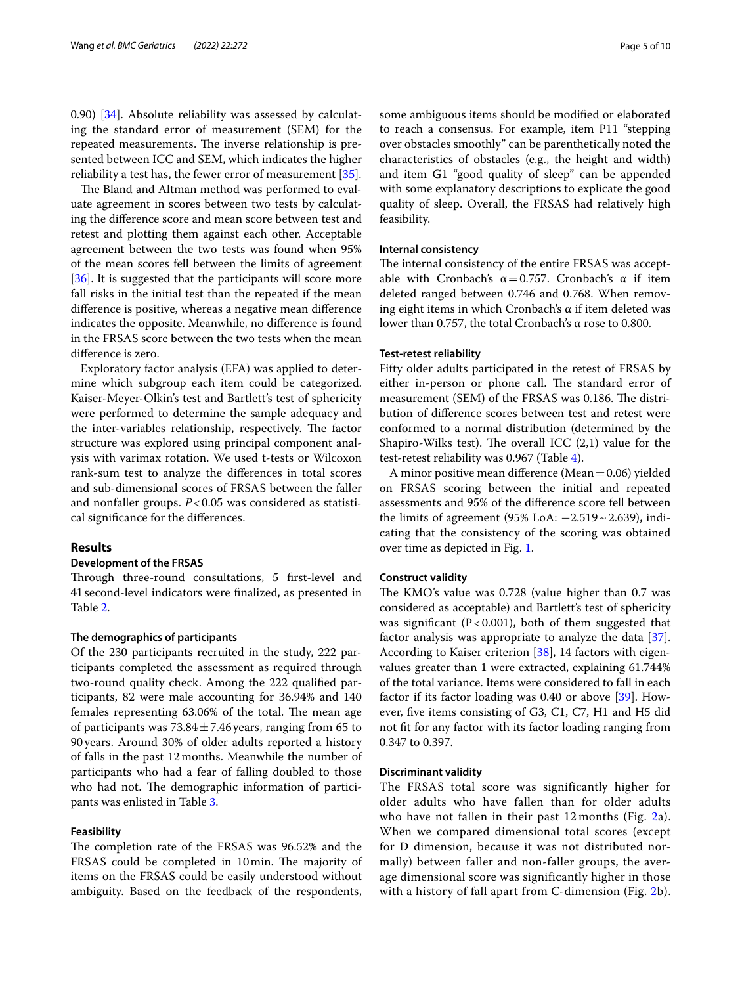0.90) [[34\]](#page-9-23). Absolute reliability was assessed by calculating the standard error of measurement (SEM) for the repeated measurements. The inverse relationship is presented between ICC and SEM, which indicates the higher reliability a test has, the fewer error of measurement [\[35\]](#page-9-24).

The Bland and Altman method was performed to evaluate agreement in scores between two tests by calculating the diference score and mean score between test and retest and plotting them against each other. Acceptable agreement between the two tests was found when 95% of the mean scores fell between the limits of agreement [[36\]](#page-9-25). It is suggested that the participants will score more fall risks in the initial test than the repeated if the mean diference is positive, whereas a negative mean diference indicates the opposite. Meanwhile, no diference is found in the FRSAS score between the two tests when the mean diference is zero.

Exploratory factor analysis (EFA) was applied to determine which subgroup each item could be categorized. Kaiser-Meyer-Olkin's test and Bartlett's test of sphericity were performed to determine the sample adequacy and the inter-variables relationship, respectively. The factor structure was explored using principal component analysis with varimax rotation. We used t-tests or Wilcoxon rank-sum test to analyze the diferences in total scores and sub-dimensional scores of FRSAS between the faller and nonfaller groups.  $P < 0.05$  was considered as statistical signifcance for the diferences.

## **Results**

# **Development of the FRSAS**

Through three-round consultations, 5 first-level and 41second-level indicators were fnalized, as presented in Table [2](#page-5-0).

# **The demographics of participants**

Of the 230 participants recruited in the study, 222 participants completed the assessment as required through two-round quality check. Among the 222 qualifed participants, 82 were male accounting for 36.94% and 140 females representing 63.06% of the total. The mean age of participants was  $73.84 \pm 7.46$  years, ranging from 65 to 90years. Around 30% of older adults reported a history of falls in the past 12months. Meanwhile the number of participants who had a fear of falling doubled to those who had not. The demographic information of participants was enlisted in Table [3](#page-6-0).

## **Feasibility**

The completion rate of the FRSAS was 96.52% and the FRSAS could be completed in 10min. The majority of items on the FRSAS could be easily understood without ambiguity. Based on the feedback of the respondents, some ambiguous items should be modifed or elaborated to reach a consensus. For example, item P11 "stepping over obstacles smoothly" can be parenthetically noted the characteristics of obstacles (e.g., the height and width) and item G1 "good quality of sleep" can be appended with some explanatory descriptions to explicate the good quality of sleep. Overall, the FRSAS had relatively high feasibility.

# **Internal consistency**

The internal consistency of the entire FRSAS was acceptable with Cronbach's  $\alpha = 0.757$ . Cronbach's α if item deleted ranged between 0.746 and 0.768. When removing eight items in which Cronbach's α if item deleted was lower than 0.757, the total Cronbach's α rose to 0.800.

## **Test-retest reliability**

Fifty older adults participated in the retest of FRSAS by either in-person or phone call. The standard error of measurement (SEM) of the FRSAS was 0.186. The distribution of diference scores between test and retest were conformed to a normal distribution (determined by the Shapiro-Wilks test). The overall ICC  $(2,1)$  value for the test-retest reliability was 0.967 (Table [4\)](#page-6-1).

A minor positive mean diference (Mean=0.06) yielded on FRSAS scoring between the initial and repeated assessments and 95% of the diference score fell between the limits of agreement (95% LoA:  $-2.519 \sim 2.639$ ), indicating that the consistency of the scoring was obtained over time as depicted in Fig. [1](#page-7-0).

## **Construct validity**

The KMO's value was 0.728 (value higher than 0.7 was considered as acceptable) and Bartlett's test of sphericity was significant ( $P < 0.001$ ), both of them suggested that factor analysis was appropriate to analyze the data [\[37](#page-9-26)]. According to Kaiser criterion [\[38\]](#page-9-27), 14 factors with eigenvalues greater than 1 were extracted, explaining 61.744% of the total variance. Items were considered to fall in each factor if its factor loading was 0.40 or above [[39\]](#page-9-28). However, fve items consisting of G3, C1, C7, H1 and H5 did not ft for any factor with its factor loading ranging from 0.347 to 0.397.

## **Discriminant validity**

The FRSAS total score was significantly higher for older adults who have fallen than for older adults who have not fallen in their past  $12$  $12$  months (Fig.  $2a$ ). When we compared dimensional total scores (except for D dimension, because it was not distributed normally) between faller and non-faller groups, the average dimensional score was significantly higher in those with a history of fall apart from C-dimension (Fig. [2b](#page-7-1)).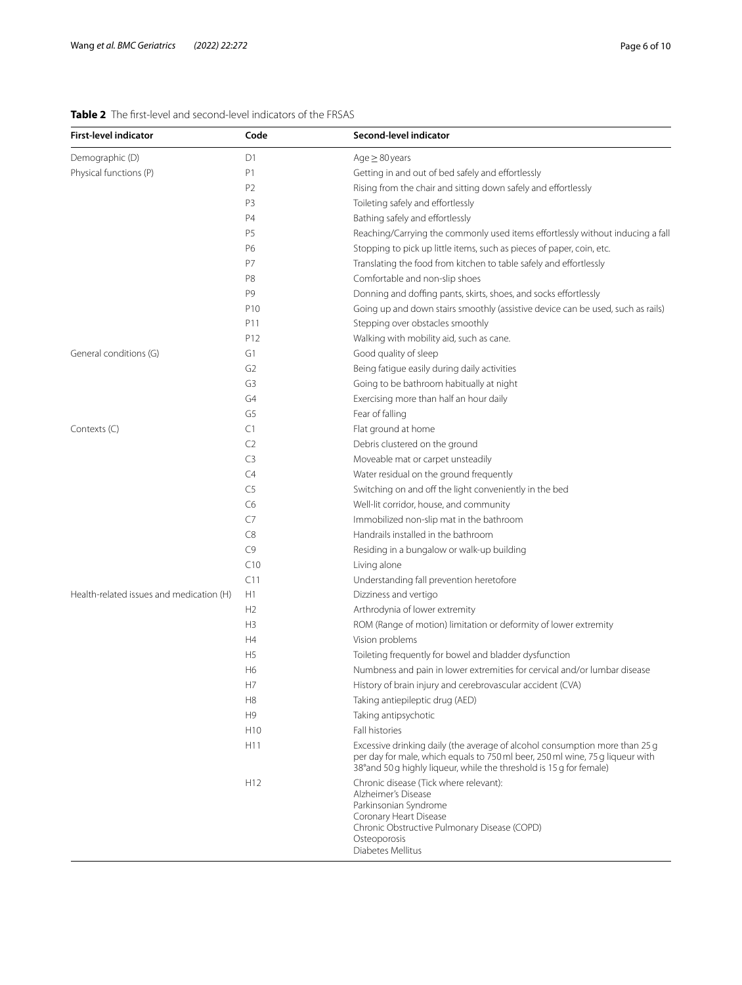# <span id="page-5-0"></span>**Table 2** The frst-level and second-level indicators of the FRSAS

| <b>First-level indicator</b>             | Code            | Second-level indicator                                                                                                                                                                                                               |  |
|------------------------------------------|-----------------|--------------------------------------------------------------------------------------------------------------------------------------------------------------------------------------------------------------------------------------|--|
| Demographic (D)                          | D1              | $Age \geq 80 years$                                                                                                                                                                                                                  |  |
| Physical functions (P)                   | P1              | Getting in and out of bed safely and effortlessly                                                                                                                                                                                    |  |
|                                          | P <sub>2</sub>  | Rising from the chair and sitting down safely and effortlessly                                                                                                                                                                       |  |
|                                          | P3              | Toileting safely and effortlessly                                                                                                                                                                                                    |  |
|                                          | P4              | Bathing safely and effortlessly                                                                                                                                                                                                      |  |
|                                          | P5              | Reaching/Carrying the commonly used items effortlessly without inducing a fall                                                                                                                                                       |  |
|                                          | P6              | Stopping to pick up little items, such as pieces of paper, coin, etc.                                                                                                                                                                |  |
|                                          | P7              | Translating the food from kitchen to table safely and effortlessly                                                                                                                                                                   |  |
|                                          | P8              | Comfortable and non-slip shoes                                                                                                                                                                                                       |  |
|                                          | P9              | Donning and doffing pants, skirts, shoes, and socks effortlessly                                                                                                                                                                     |  |
|                                          | P <sub>10</sub> | Going up and down stairs smoothly (assistive device can be used, such as rails)                                                                                                                                                      |  |
|                                          | P11             | Stepping over obstacles smoothly                                                                                                                                                                                                     |  |
|                                          | P12             | Walking with mobility aid, such as cane.                                                                                                                                                                                             |  |
| General conditions (G)                   | G1              | Good quality of sleep                                                                                                                                                                                                                |  |
|                                          | G <sub>2</sub>  | Being fatigue easily during daily activities                                                                                                                                                                                         |  |
|                                          | G3              | Going to be bathroom habitually at night                                                                                                                                                                                             |  |
|                                          | G <sub>4</sub>  | Exercising more than half an hour daily                                                                                                                                                                                              |  |
|                                          | G5              | Fear of falling                                                                                                                                                                                                                      |  |
| Contexts (C)                             | C1              | Flat ground at home                                                                                                                                                                                                                  |  |
|                                          | C <sub>2</sub>  | Debris clustered on the ground                                                                                                                                                                                                       |  |
|                                          | C <sub>3</sub>  | Moveable mat or carpet unsteadily                                                                                                                                                                                                    |  |
|                                          | C4              | Water residual on the ground frequently                                                                                                                                                                                              |  |
|                                          | C5              | Switching on and off the light conveniently in the bed                                                                                                                                                                               |  |
|                                          | C <sub>6</sub>  | Well-lit corridor, house, and community                                                                                                                                                                                              |  |
|                                          | C7              | Immobilized non-slip mat in the bathroom                                                                                                                                                                                             |  |
|                                          | C8              | Handrails installed in the bathroom                                                                                                                                                                                                  |  |
|                                          | C9              | Residing in a bungalow or walk-up building                                                                                                                                                                                           |  |
|                                          | C10             | Living alone                                                                                                                                                                                                                         |  |
|                                          | C11             | Understanding fall prevention heretofore                                                                                                                                                                                             |  |
| Health-related issues and medication (H) | H1              | Dizziness and vertigo                                                                                                                                                                                                                |  |
|                                          | H <sub>2</sub>  | Arthrodynia of lower extremity                                                                                                                                                                                                       |  |
|                                          | H <sub>3</sub>  | ROM (Range of motion) limitation or deformity of lower extremity                                                                                                                                                                     |  |
|                                          | H4              | Vision problems                                                                                                                                                                                                                      |  |
|                                          | H <sub>5</sub>  | Toileting frequently for bowel and bladder dysfunction                                                                                                                                                                               |  |
|                                          | H <sub>6</sub>  | Numbness and pain in lower extremities for cervical and/or lumbar disease                                                                                                                                                            |  |
|                                          | H7              | History of brain injury and cerebrovascular accident (CVA)                                                                                                                                                                           |  |
|                                          | H <sub>8</sub>  | Taking antiepileptic drug (AED)                                                                                                                                                                                                      |  |
|                                          | H <sub>9</sub>  | Taking antipsychotic                                                                                                                                                                                                                 |  |
|                                          | H <sub>10</sub> | Fall histories                                                                                                                                                                                                                       |  |
|                                          | H11             | Excessive drinking daily (the average of alcohol consumption more than 25 g<br>per day for male, which equals to 750 ml beer, 250 ml wine, 75 g liqueur with<br>38° and 50 g highly liqueur, while the threshold is 15 g for female) |  |
|                                          | H <sub>12</sub> | Chronic disease (Tick where relevant):<br>Alzheimer's Disease<br>Parkinsonian Syndrome<br>Coronary Heart Disease<br>Chronic Obstructive Pulmonary Disease (COPD)<br>Osteoporosis<br>Diabetes Mellitus                                |  |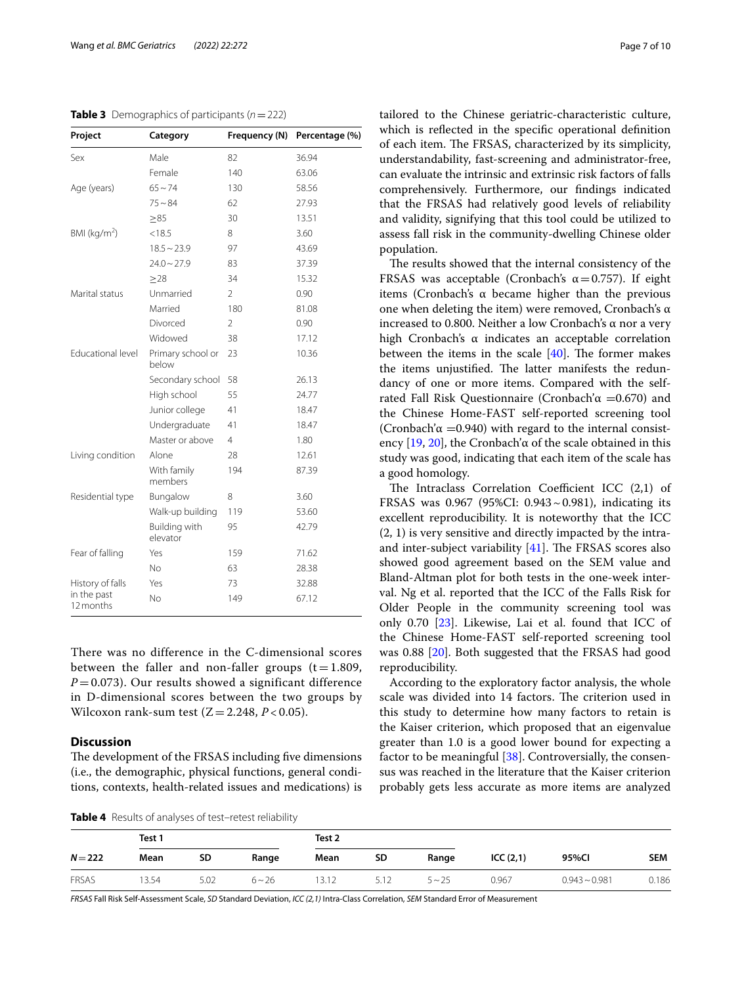<span id="page-6-0"></span>**Table 3** Demographics of participants ( $n = 222$ )

| Project                  | Category                   | Frequency (N)  | Percentage (%) |
|--------------------------|----------------------------|----------------|----------------|
| Sex                      | Male                       | 82             | 36.94          |
|                          | Female                     | 140            | 63.06          |
| Age (years)              | $65 - 74$                  | 130            | 58.56          |
|                          | $75 - 84$                  | 62             | 27.93          |
|                          | $\geq 85$                  | 30             | 13.51          |
| BMI ( $kg/m2$ )          | < 18.5                     | 8              | 3.60           |
|                          | $18.5 - 23.9$              | 97             | 43.69          |
|                          | $24.0 - 27.9$              | 83             | 37.39          |
|                          | $\geq$ 28                  | 34             | 15.32          |
| Marital status           | Unmarried                  | $\overline{2}$ | 0.90           |
|                          | Married                    | 180            | 81.08          |
|                          | Divorced                   | $\mathfrak{D}$ | 0.90           |
|                          | Widowed                    | 38             | 17.12          |
| Educational level        | Primary school or<br>below | 23             | 10.36          |
|                          | Secondary school           | 58             | 26.13          |
|                          | High school                | 55             | 24.77          |
|                          | Junior college             | 41             | 18.47          |
|                          | Undergraduate              | 41             | 18.47          |
|                          | Master or above            | 4              | 1.80           |
| Living condition         | Alone                      | 28             | 12.61          |
|                          | With family<br>members     | 194            | 87.39          |
| Residential type         | Bungalow                   | 8              | 3.60           |
|                          | Walk-up building           | 119            | 53.60          |
|                          | Building with<br>elevator  | 95             | 42.79          |
| Fear of falling          | Yes                        | 159            | 71.62          |
|                          | No.                        | 63             | 28.38          |
| History of falls         | Yes                        | 73             | 32.88          |
| in the past<br>12 months | <b>No</b>                  | 149            | 67.12          |

There was no difference in the C-dimensional scores between the faller and non-faller groups  $(t = 1.809,$  $P = 0.073$ ). Our results showed a significant difference in D-dimensional scores between the two groups by Wilcoxon rank-sum test  $(Z = 2.248, P < 0.05)$ .

# **Discussion**

The development of the FRSAS including five dimensions (i.e., the demographic, physical functions, general conditions, contexts, health-related issues and medications) is

<span id="page-6-1"></span>**Table 4** Results of analyses of test–retest reliability

tailored to the Chinese geriatric-characteristic culture, which is refected in the specifc operational defnition of each item. The FRSAS, characterized by its simplicity, understandability, fast-screening and administrator-free, can evaluate the intrinsic and extrinsic risk factors of falls comprehensively. Furthermore, our fndings indicated that the FRSAS had relatively good levels of reliability and validity, signifying that this tool could be utilized to assess fall risk in the community-dwelling Chinese older population.

The results showed that the internal consistency of the FRSAS was acceptable (Cronbach's  $\alpha$  = 0.757). If eight items (Cronbach's α became higher than the previous one when deleting the item) were removed, Cronbach's α increased to 0.800. Neither a low Cronbach's α nor a very high Cronbach's α indicates an acceptable correlation between the items in the scale  $[40]$ . The former makes the items unjustified. The latter manifests the redundancy of one or more items. Compared with the selfrated Fall Risk Questionnaire (Cronbach'α =0.670) and the Chinese Home-FAST self-reported screening tool (Cronbach' $\alpha$  =0.940) with regard to the internal consistency  $[19, 20]$  $[19, 20]$  $[19, 20]$ , the Cronbach' $\alpha$  of the scale obtained in this study was good, indicating that each item of the scale has a good homology.

The Intraclass Correlation Coefficient ICC  $(2,1)$  of FRSAS was 0.967 (95%CI: 0.943~0.981), indicating its excellent reproducibility. It is noteworthy that the ICC (2, 1) is very sensitive and directly impacted by the intraand inter-subject variability  $[41]$  $[41]$ . The FRSAS scores also showed good agreement based on the SEM value and Bland-Altman plot for both tests in the one-week interval. Ng et al. reported that the ICC of the Falls Risk for Older People in the community screening tool was only 0.70 [\[23\]](#page-9-15). Likewise, Lai et al. found that ICC of the Chinese Home-FAST self-reported screening tool was 0.88 [[20\]](#page-9-5). Both suggested that the FRSAS had good reproducibility.

According to the exploratory factor analysis, the whole scale was divided into 14 factors. The criterion used in this study to determine how many factors to retain is the Kaiser criterion, which proposed that an eigenvalue greater than 1.0 is a good lower bound for expecting a factor to be meaningful [\[38](#page-9-27)]. Controversially, the consensus was reached in the literature that the Kaiser criterion probably gets less accurate as more items are analyzed

**Test 1 Test 2** *N*=**222 Mean SD Range Mean SD Range ICC (2,1) 95%CI SEM** FRSAS 13.54 5.02 6~26 13.12 5.12 5~25 0.967 0.943~0.981 0.186

*FRSAS* Fall Risk Self-Assessment Scale, *SD* Standard Deviation, *ICC (2,1)* Intra-Class Correlation, *SEM* Standard Error of Measurement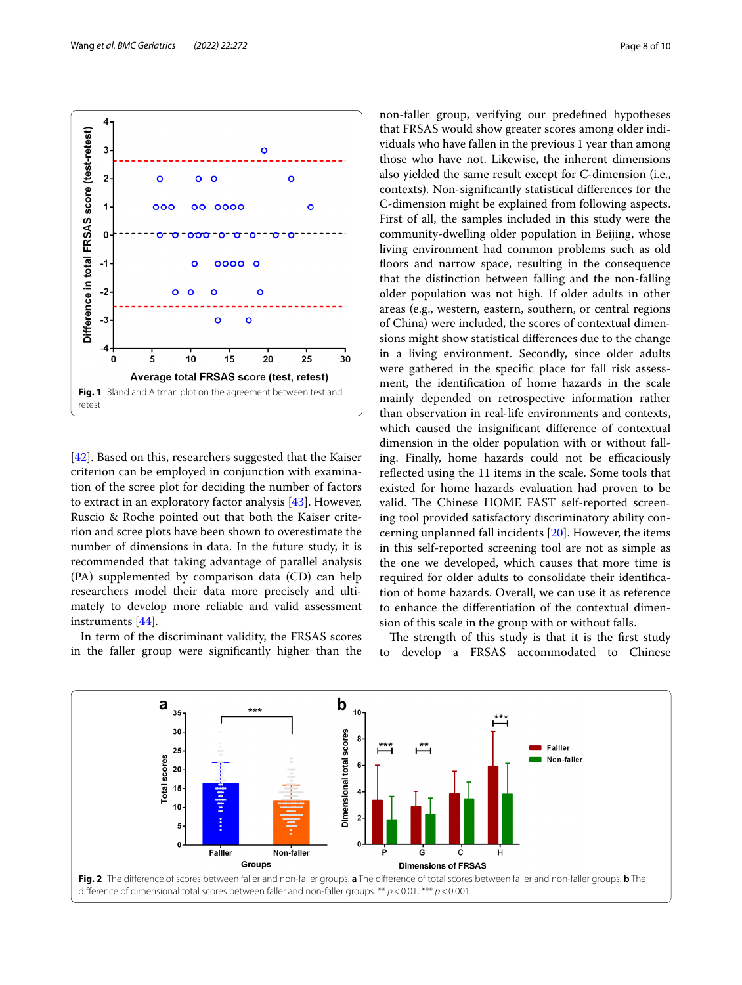

<span id="page-7-0"></span>[[42\]](#page-9-31). Based on this, researchers suggested that the Kaiser criterion can be employed in conjunction with examination of the scree plot for deciding the number of factors to extract in an exploratory factor analysis [\[43](#page-9-32)]. However, Ruscio & Roche pointed out that both the Kaiser criterion and scree plots have been shown to overestimate the number of dimensions in data. In the future study, it is recommended that taking advantage of parallel analysis (PA) supplemented by comparison data (CD) can help researchers model their data more precisely and ultimately to develop more reliable and valid assessment instruments [[44\]](#page-9-33).

In term of the discriminant validity, the FRSAS scores in the faller group were signifcantly higher than the non-faller group, verifying our predefned hypotheses that FRSAS would show greater scores among older individuals who have fallen in the previous 1 year than among those who have not. Likewise, the inherent dimensions also yielded the same result except for C-dimension (i.e., contexts). Non-signifcantly statistical diferences for the C-dimension might be explained from following aspects. First of all, the samples included in this study were the community-dwelling older population in Beijing, whose living environment had common problems such as old floors and narrow space, resulting in the consequence that the distinction between falling and the non-falling older population was not high. If older adults in other areas (e.g., western, eastern, southern, or central regions of China) were included, the scores of contextual dimensions might show statistical diferences due to the change in a living environment. Secondly, since older adults were gathered in the specifc place for fall risk assessment, the identifcation of home hazards in the scale mainly depended on retrospective information rather than observation in real-life environments and contexts, which caused the insignifcant diference of contextual dimension in the older population with or without falling. Finally, home hazards could not be efficaciously refected using the 11 items in the scale. Some tools that existed for home hazards evaluation had proven to be valid. The Chinese HOME FAST self-reported screening tool provided satisfactory discriminatory ability concerning unplanned fall incidents [\[20](#page-9-5)]. However, the items in this self-reported screening tool are not as simple as the one we developed, which causes that more time is required for older adults to consolidate their identifcation of home hazards. Overall, we can use it as reference to enhance the diferentiation of the contextual dimension of this scale in the group with or without falls.

The strength of this study is that it is the first study to develop a FRSAS accommodated to Chinese

<span id="page-7-1"></span>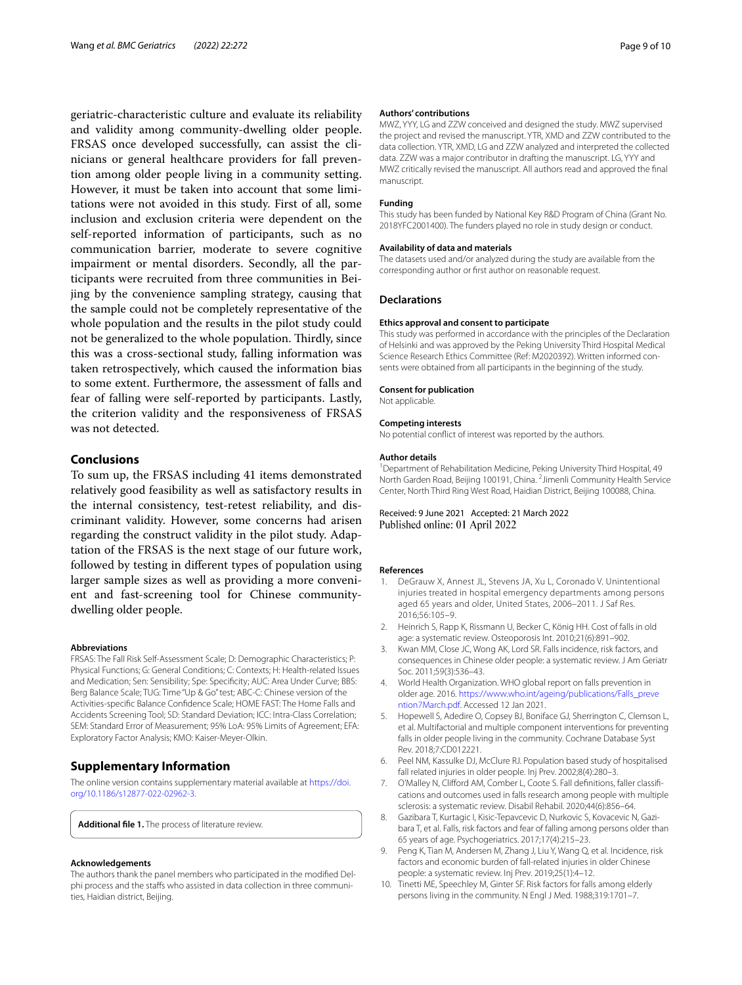geriatric-characteristic culture and evaluate its reliability and validity among community-dwelling older people. FRSAS once developed successfully, can assist the clinicians or general healthcare providers for fall prevention among older people living in a community setting. However, it must be taken into account that some limitations were not avoided in this study. First of all, some inclusion and exclusion criteria were dependent on the self-reported information of participants, such as no communication barrier, moderate to severe cognitive impairment or mental disorders. Secondly, all the participants were recruited from three communities in Beijing by the convenience sampling strategy, causing that the sample could not be completely representative of the whole population and the results in the pilot study could not be generalized to the whole population. Thirdly, since this was a cross-sectional study, falling information was taken retrospectively, which caused the information bias to some extent. Furthermore, the assessment of falls and fear of falling were self-reported by participants. Lastly, the criterion validity and the responsiveness of FRSAS was not detected.

## **Conclusions**

To sum up, the FRSAS including 41 items demonstrated relatively good feasibility as well as satisfactory results in the internal consistency, test-retest reliability, and discriminant validity. However, some concerns had arisen regarding the construct validity in the pilot study. Adaptation of the FRSAS is the next stage of our future work, followed by testing in diferent types of population using larger sample sizes as well as providing a more convenient and fast-screening tool for Chinese communitydwelling older people.

## **Abbreviations**

FRSAS: The Fall Risk Self-Assessment Scale; D: Demographic Characteristics; P: Physical Functions; G: General Conditions; C: Contexts; H: Health-related Issues and Medication; Sen: Sensibility; Spe: Specifcity; AUC: Area Under Curve; BBS: Berg Balance Scale; TUG: Time "Up & Go" test; ABC-C: Chinese version of the Activities-specifc Balance Confdence Scale; HOME FAST: The Home Falls and Accidents Screening Tool; SD: Standard Deviation; ICC: Intra-Class Correlation; SEM: Standard Error of Measurement; 95% LoA: 95% Limits of Agreement; EFA: Exploratory Factor Analysis; KMO: Kaiser-Meyer-Olkin.

## **Supplementary Information**

The online version contains supplementary material available at [https://doi.](https://doi.org/10.1186/s12877-022-02962-3) [org/10.1186/s12877-022-02962-3](https://doi.org/10.1186/s12877-022-02962-3).

<span id="page-8-9"></span>**Additional fle 1.** The process of literature review.

## **Acknowledgements**

The authors thank the panel members who participated in the modifed Delphi process and the staffs who assisted in data collection in three communities, Haidian district, Beijing.

#### **Authors' contributions**

MWZ, YYY, LG and ZZW conceived and designed the study. MWZ supervised the project and revised the manuscript. YTR, XMD and ZZW contributed to the data collection. YTR, XMD, LG and ZZW analyzed and interpreted the collected data. ZZW was a major contributor in drafting the manuscript. LG, YYY and MWZ critically revised the manuscript. All authors read and approved the fnal manuscript.

## **Funding**

This study has been funded by National Key R&D Program of China (Grant No. 2018YFC2001400). The funders played no role in study design or conduct.

#### **Availability of data and materials**

The datasets used and/or analyzed during the study are available from the corresponding author or frst author on reasonable request.

## **Declarations**

#### **Ethics approval and consent to participate**

This study was performed in accordance with the principles of the Declaration of Helsinki and was approved by the Peking University Third Hospital Medical Science Research Ethics Committee (Ref: M2020392). Written informed consents were obtained from all participants in the beginning of the study.

#### **Consent for publication**

Not applicable.

## **Competing interests**

No potential confict of interest was reported by the authors.

#### **Author details**

<sup>1</sup> Department of Rehabilitation Medicine, Peking University Third Hospital, 49 North Garden Road, Beijing 100191, China. <sup>2</sup> Jimenli Community Health Service Center, North Third Ring West Road, Haidian District, Beijing 100088, China.

Received: 9 June 2021 Accepted: 21 March 2022 Published online: 01 April 2022

#### **References**

- <span id="page-8-0"></span>1. DeGrauw X, Annest JL, Stevens JA, Xu L, Coronado V. Unintentional injuries treated in hospital emergency departments among persons aged 65 years and older, United States, 2006–2011. J Saf Res. 2016;56:105–9.
- <span id="page-8-1"></span>2. Heinrich S, Rapp K, Rissmann U, Becker C, König HH. Cost of falls in old age: a systematic review. Osteoporosis Int. 2010;21(6):891–902.
- <span id="page-8-2"></span>Kwan MM, Close JC, Wong AK, Lord SR. Falls incidence, risk factors, and consequences in Chinese older people: a systematic review. J Am Geriatr Soc. 2011;59(3):536–43.
- <span id="page-8-3"></span>4. World Health Organization. WHO global report on falls prevention in older age. 2016. [https://www.who.int/ageing/publications/Falls\\_preve](https://www.who.int/ageing/publications/Falls_prevention7March.pdf) [ntion7March.pdf](https://www.who.int/ageing/publications/Falls_prevention7March.pdf). Accessed 12 Jan 2021.
- <span id="page-8-4"></span>5. Hopewell S, Adedire O, Copsey BJ, Boniface GJ, Sherrington C, Clemson L, et al. Multifactorial and multiple component interventions for preventing falls in older people living in the community. Cochrane Database Syst Rev. 2018;7:CD012221.
- 6. Peel NM, Kassulke DJ, McClure RJ. Population based study of hospitalised fall related injuries in older people. Inj Prev. 2002;8(4):280–3.
- <span id="page-8-5"></span>7. O'Malley N, Clifford AM, Comber L, Coote S. Fall definitions, faller classifications and outcomes used in falls research among people with multiple sclerosis: a systematic review. Disabil Rehabil. 2020;44(6):856–64.
- <span id="page-8-6"></span>8. Gazibara T, Kurtagic I, Kisic-Tepavcevic D, Nurkovic S, Kovacevic N, Gazibara T, et al. Falls, risk factors and fear of falling among persons older than 65 years of age. Psychogeriatrics. 2017;17(4):215–23.
- <span id="page-8-7"></span>9. Peng K, Tian M, Andersen M, Zhang J, Liu Y, Wang Q, et al. Incidence, risk factors and economic burden of fall-related injuries in older Chinese people: a systematic review. Inj Prev. 2019;25(1):4–12.
- <span id="page-8-8"></span>10. Tinetti ME, Speechley M, Ginter SF. Risk factors for falls among elderly persons living in the community. N Engl J Med. 1988;319:1701–7.